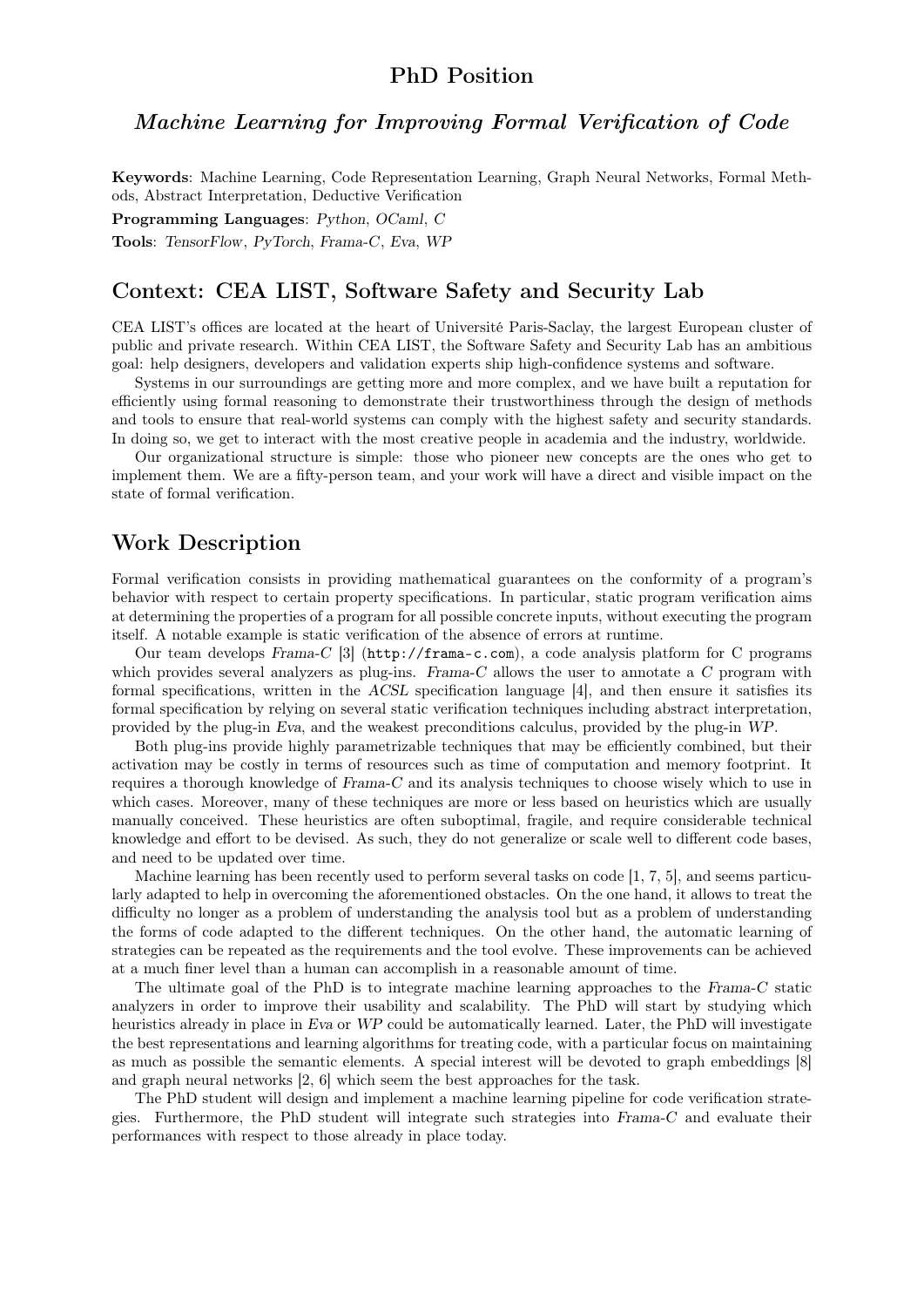### PhD Position

#### Machine Learning for Improving Formal Verification of Code

Keywords: Machine Learning, Code Representation Learning, Graph Neural Networks, Formal Methods, Abstract Interpretation, Deductive Verification

Programming Languages: Python, OCaml, C

Tools: TensorFlow, PyTorch, Frama-C, Eva, WP

#### Context: CEA LIST, Software Safety and Security Lab

CEA LIST's offices are located at the heart of Université Paris-Saclay, the largest European cluster of public and private research. Within CEA LIST, the Software Safety and Security Lab has an ambitious goal: help designers, developers and validation experts ship high-confidence systems and software.

Systems in our surroundings are getting more and more complex, and we have built a reputation for efficiently using formal reasoning to demonstrate their trustworthiness through the design of methods and tools to ensure that real-world systems can comply with the highest safety and security standards. In doing so, we get to interact with the most creative people in academia and the industry, worldwide.

Our organizational structure is simple: those who pioneer new concepts are the ones who get to implement them. We are a fifty-person team, and your work will have a direct and visible impact on the state of formal verification.

### Work Description

Formal verification consists in providing mathematical guarantees on the conformity of a program's behavior with respect to certain property specifications. In particular, static program verification aims at determining the properties of a program for all possible concrete inputs, without executing the program itself. A notable example is static verification of the absence of errors at runtime.

Our team develops Frama-C [3] (http://frama-c.com), a code analysis platform for C programs which provides several analyzers as plug-ins. Frama-C allows the user to annotate a C program with formal specifications, written in the ACSL specification language [4], and then ensure it satisfies its formal specification by relying on several static verification techniques including abstract interpretation, provided by the plug-in Eva, and the weakest preconditions calculus, provided by the plug-in WP.

Both plug-ins provide highly parametrizable techniques that may be efficiently combined, but their activation may be costly in terms of resources such as time of computation and memory footprint. It requires a thorough knowledge of Frama-C and its analysis techniques to choose wisely which to use in which cases. Moreover, many of these techniques are more or less based on heuristics which are usually manually conceived. These heuristics are often suboptimal, fragile, and require considerable technical knowledge and effort to be devised. As such, they do not generalize or scale well to different code bases, and need to be updated over time.

Machine learning has been recently used to perform several tasks on code [1, 7, 5], and seems particularly adapted to help in overcoming the aforementioned obstacles. On the one hand, it allows to treat the difficulty no longer as a problem of understanding the analysis tool but as a problem of understanding the forms of code adapted to the different techniques. On the other hand, the automatic learning of strategies can be repeated as the requirements and the tool evolve. These improvements can be achieved at a much finer level than a human can accomplish in a reasonable amount of time.

The ultimate goal of the PhD is to integrate machine learning approaches to the Frama-C static analyzers in order to improve their usability and scalability. The PhD will start by studying which heuristics already in place in Eva or WP could be automatically learned. Later, the PhD will investigate the best representations and learning algorithms for treating code, with a particular focus on maintaining as much as possible the semantic elements. A special interest will be devoted to graph embeddings [8] and graph neural networks [2, 6] which seem the best approaches for the task.

The PhD student will design and implement a machine learning pipeline for code verification strategies. Furthermore, the PhD student will integrate such strategies into Frama-C and evaluate their performances with respect to those already in place today.